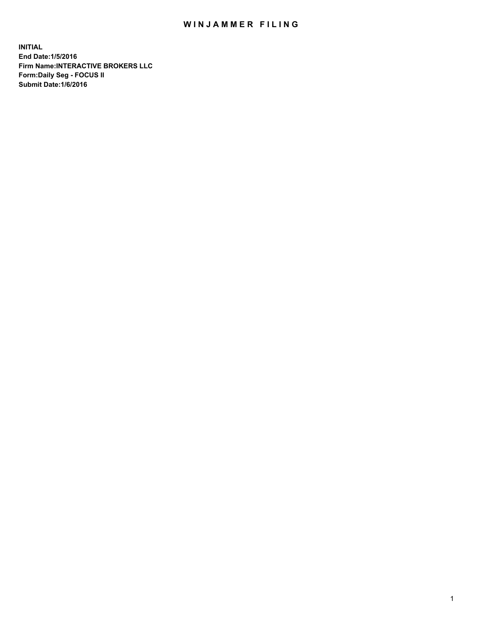## WIN JAMMER FILING

**INITIAL End Date:1/5/2016 Firm Name:INTERACTIVE BROKERS LLC Form:Daily Seg - FOCUS II Submit Date:1/6/2016**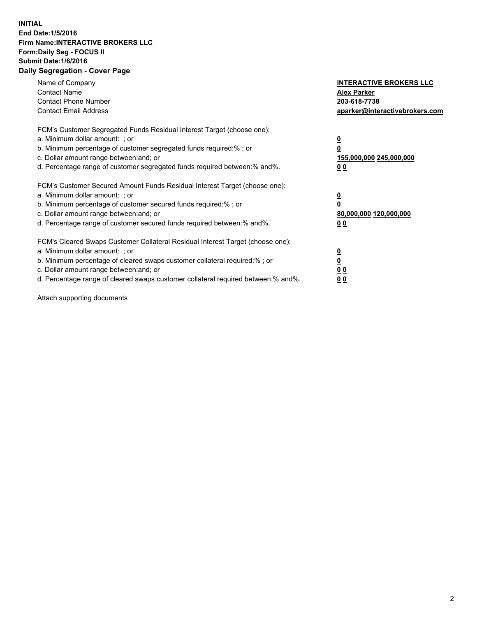## **INITIAL End Date:1/5/2016 Firm Name:INTERACTIVE BROKERS LLC Form:Daily Seg - FOCUS II Submit Date:1/6/2016 Daily Segregation - Cover Page**

| Name of Company<br><b>Contact Name</b><br><b>Contact Phone Number</b><br><b>Contact Email Address</b>                                                                                                                                                                                                                          | <b>INTERACTIVE BROKERS LLC</b><br><b>Alex Parker</b><br>203-618-7738<br>aparker@interactivebrokers.com |
|--------------------------------------------------------------------------------------------------------------------------------------------------------------------------------------------------------------------------------------------------------------------------------------------------------------------------------|--------------------------------------------------------------------------------------------------------|
| FCM's Customer Segregated Funds Residual Interest Target (choose one):<br>a. Minimum dollar amount: ; or<br>b. Minimum percentage of customer segregated funds required:% ; or<br>c. Dollar amount range between: and; or<br>d. Percentage range of customer segregated funds required between:% and%.                         | <u>0</u><br>155,000,000 245,000,000<br><u>00</u>                                                       |
| FCM's Customer Secured Amount Funds Residual Interest Target (choose one):<br>a. Minimum dollar amount: ; or<br>b. Minimum percentage of customer secured funds required:%; or<br>c. Dollar amount range between: and; or<br>d. Percentage range of customer secured funds required between: % and %.                          | <u>0</u><br>80,000,000 120,000,000<br>0 <sub>0</sub>                                                   |
| FCM's Cleared Swaps Customer Collateral Residual Interest Target (choose one):<br>a. Minimum dollar amount: ; or<br>b. Minimum percentage of cleared swaps customer collateral required:% ; or<br>c. Dollar amount range between: and; or<br>d. Percentage range of cleared swaps customer collateral required between:% and%. | <u>0</u><br>0 <sub>0</sub><br>0 <sub>0</sub>                                                           |

Attach supporting documents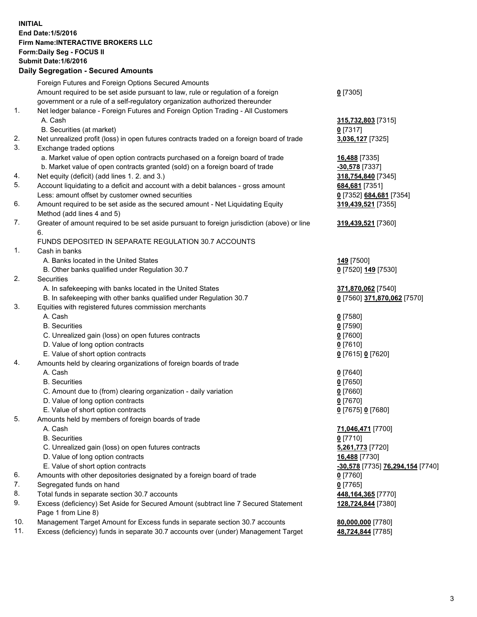## **INITIAL End Date:1/5/2016 Firm Name:INTERACTIVE BROKERS LLC Form:Daily Seg - FOCUS II Submit Date:1/6/2016 Daily Segregation - Secured Amounts**

|     | Foreign Futures and Foreign Options Secured Amounts                                                        |                                  |
|-----|------------------------------------------------------------------------------------------------------------|----------------------------------|
|     | Amount required to be set aside pursuant to law, rule or regulation of a foreign                           | $0$ [7305]                       |
|     | government or a rule of a self-regulatory organization authorized thereunder                               |                                  |
| 1.  | Net ledger balance - Foreign Futures and Foreign Option Trading - All Customers                            |                                  |
|     | A. Cash                                                                                                    | 315,732,803 [7315]               |
|     | B. Securities (at market)                                                                                  | $0$ [7317]                       |
| 2.  | Net unrealized profit (loss) in open futures contracts traded on a foreign board of trade                  | 3,036,127 [7325]                 |
| 3.  | Exchange traded options                                                                                    |                                  |
|     | a. Market value of open option contracts purchased on a foreign board of trade                             | 16,488 [7335]                    |
|     | b. Market value of open contracts granted (sold) on a foreign board of trade                               | -30,578 [7337]                   |
| 4.  | Net equity (deficit) (add lines 1. 2. and 3.)                                                              | 318,754,840 [7345]               |
| 5.  | Account liquidating to a deficit and account with a debit balances - gross amount                          | 684,681 [7351]                   |
|     | Less: amount offset by customer owned securities                                                           | 0 [7352] 684,681 [7354]          |
| 6.  | Amount required to be set aside as the secured amount - Net Liquidating Equity                             | 319,439,521 [7355]               |
|     | Method (add lines 4 and 5)                                                                                 |                                  |
| 7.  | Greater of amount required to be set aside pursuant to foreign jurisdiction (above) or line                | 319,439,521 [7360]               |
|     | 6.                                                                                                         |                                  |
|     | FUNDS DEPOSITED IN SEPARATE REGULATION 30.7 ACCOUNTS                                                       |                                  |
| 1.  | Cash in banks                                                                                              |                                  |
|     | A. Banks located in the United States                                                                      | 149 [7500]                       |
|     | B. Other banks qualified under Regulation 30.7                                                             | 0 [7520] 149 [7530]              |
| 2.  | Securities                                                                                                 |                                  |
|     | A. In safekeeping with banks located in the United States                                                  | 371,870,062 [7540]               |
|     | B. In safekeeping with other banks qualified under Regulation 30.7                                         | 0 [7560] 371,870,062 [7570]      |
| 3.  | Equities with registered futures commission merchants                                                      |                                  |
|     | A. Cash                                                                                                    | $0$ [7580]                       |
|     | <b>B.</b> Securities                                                                                       | $0$ [7590]                       |
|     | C. Unrealized gain (loss) on open futures contracts                                                        | $0$ [7600]                       |
|     | D. Value of long option contracts                                                                          | $0$ [7610]                       |
|     | E. Value of short option contracts                                                                         | 0 [7615] 0 [7620]                |
| 4.  | Amounts held by clearing organizations of foreign boards of trade                                          |                                  |
|     | A. Cash                                                                                                    | $0$ [7640]                       |
|     | <b>B.</b> Securities                                                                                       | $0$ [7650]                       |
|     | C. Amount due to (from) clearing organization - daily variation                                            | $0$ [7660]                       |
|     | D. Value of long option contracts                                                                          | $0$ [7670]                       |
|     | E. Value of short option contracts                                                                         | 0 [7675] 0 [7680]                |
| 5.  | Amounts held by members of foreign boards of trade                                                         |                                  |
|     | A. Cash                                                                                                    | 71,046,471 [7700]                |
|     | <b>B.</b> Securities                                                                                       | $0$ [7710]                       |
|     | C. Unrealized gain (loss) on open futures contracts                                                        | 5,261,773 [7720]                 |
|     | D. Value of long option contracts                                                                          | 16,488 [7730]                    |
|     | E. Value of short option contracts                                                                         | -30,578 [7735] 76,294,154 [7740] |
| 6.  | Amounts with other depositories designated by a foreign board of trade                                     | $0$ [7760]                       |
| 7.  | Segregated funds on hand                                                                                   | $0$ [7765]                       |
| 8.  | Total funds in separate section 30.7 accounts                                                              | 448,164,365 [7770]               |
| 9.  | Excess (deficiency) Set Aside for Secured Amount (subtract line 7 Secured Statement<br>Page 1 from Line 8) | 128,724,844 [7380]               |
| 10. | Management Target Amount for Excess funds in separate section 30.7 accounts                                | 80,000,000 [7780]                |
| 11. | Excess (deficiency) funds in separate 30.7 accounts over (under) Management Target                         | 48,724,844 [7785]                |
|     |                                                                                                            |                                  |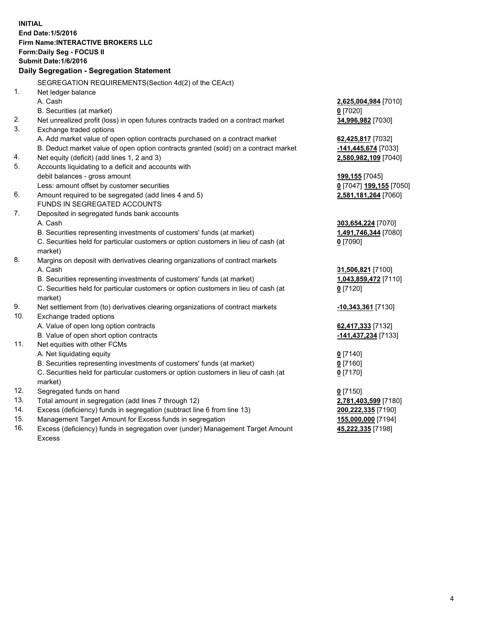**INITIAL End Date:1/5/2016 Firm Name:INTERACTIVE BROKERS LLC Form:Daily Seg - FOCUS II Submit Date:1/6/2016 Daily Segregation - Segregation Statement** SEGREGATION REQUIREMENTS(Section 4d(2) of the CEAct) 1. Net ledger balance A. Cash **2,625,004,984** [7010] B. Securities (at market) **0** [7020] 2. Net unrealized profit (loss) in open futures contracts traded on a contract market **34,996,982** [7030] 3. Exchange traded options A. Add market value of open option contracts purchased on a contract market **62,425,817** [7032] B. Deduct market value of open option contracts granted (sold) on a contract market **-141,445,674** [7033] 4. Net equity (deficit) (add lines 1, 2 and 3) **2,580,982,109** [7040] 5. Accounts liquidating to a deficit and accounts with debit balances - gross amount **199,155** [7045] Less: amount offset by customer securities **0** [7047] **199,155** [7050] 6. Amount required to be segregated (add lines 4 and 5) **2,581,181,264** [7060] FUNDS IN SEGREGATED ACCOUNTS 7. Deposited in segregated funds bank accounts A. Cash **303,654,224** [7070] B. Securities representing investments of customers' funds (at market) **1,491,746,344** [7080] C. Securities held for particular customers or option customers in lieu of cash (at market) **0** [7090] 8. Margins on deposit with derivatives clearing organizations of contract markets A. Cash **31,506,821** [7100] B. Securities representing investments of customers' funds (at market) **1,043,859,472** [7110] C. Securities held for particular customers or option customers in lieu of cash (at market) **0** [7120] 9. Net settlement from (to) derivatives clearing organizations of contract markets **-10,343,361** [7130] 10. Exchange traded options A. Value of open long option contracts **62,417,333** [7132] B. Value of open short option contracts **-141,437,234** [7133] 11. Net equities with other FCMs A. Net liquidating equity **0** [7140] B. Securities representing investments of customers' funds (at market) **0** [7160] C. Securities held for particular customers or option customers in lieu of cash (at market) **0** [7170] 12. Segregated funds on hand **0** [7150] 13. Total amount in segregation (add lines 7 through 12) **2,781,403,599** [7180] 14. Excess (deficiency) funds in segregation (subtract line 6 from line 13) **200,222,335** [7190] 15. Management Target Amount for Excess funds in segregation **155,000,000** [7194] 16. Excess (deficiency) funds in segregation over (under) Management Target Amount **45,222,335** [7198]

Excess